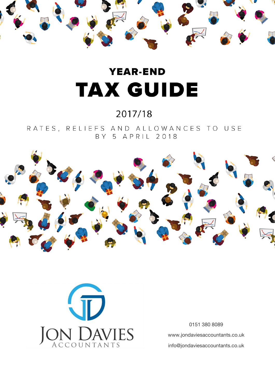

# **YEAR-END TAX GUIDE**

### 2017/18

RATES, RELIEFS AND ALLOWANCES TO USE BY 5 APRIL 2018





0151 380 8089 www.jondaviesaccountants.co.uk info@jondaviesaccountants.co.uk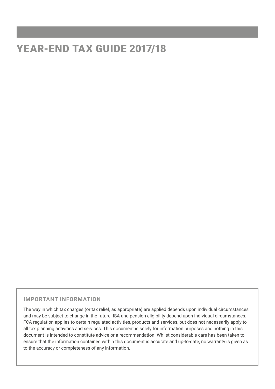### YEAR-END TAX GUIDE 2017/18

#### **IMPORTANT INFORMATION**

The way in which tax charges (or tax relief, as appropriate) are applied depends upon individual circumstances and may be subject to change in the future. ISA and pension eligibility depend upon individual circumstances. FCA regulation applies to certain regulated activities, products and services, but does not necessarily apply to all tax planning activities and services. This document is solely for information purposes and nothing in this document is intended to constitute advice or a recommendation. Whilst considerable care has been taken to ensure that the information contained within this document is accurate and up-to-date, no warranty is given as to the accuracy or completeness of any information.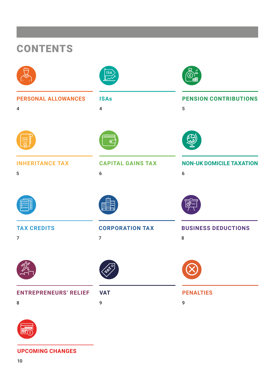| <b>CONTENTS</b>                              |                                          |                                      |  |  |  |  |  |  |
|----------------------------------------------|------------------------------------------|--------------------------------------|--|--|--|--|--|--|
|                                              | $\underline{\mathsf{ISA}}$               | Q                                    |  |  |  |  |  |  |
| <b>PERSONAL ALLOWANCES</b><br>$\overline{4}$ | <b>ISAs</b><br>$\overline{\mathbf{4}}$   | PENSION CONTRIBUTIONS<br>5           |  |  |  |  |  |  |
|                                              | $\overline{C}$                           |                                      |  |  |  |  |  |  |
| <b>INHERITANCE TAX</b><br>5                  | <b>CAPITAL GAINS TAX</b><br>$6\,$        | <b>NON-UK DOMICILE TAXATION</b><br>6 |  |  |  |  |  |  |
|                                              | <b>THE SEA</b>                           | අ                                    |  |  |  |  |  |  |
| <b>TAX CREDITS</b><br>$\overline{7}$         | <b>CORPORATION TAX</b><br>$\overline{7}$ | <b>BUSINESS DEDUCTIONS</b><br>8      |  |  |  |  |  |  |
|                                              | TEN                                      |                                      |  |  |  |  |  |  |
| <b>ENTREPRENEURS' RELIEF</b><br>${\bf 8}$    | <b>VAT</b><br>9                          | <b>PENALTIES</b><br>9                |  |  |  |  |  |  |



**UPCOMING CHANGES**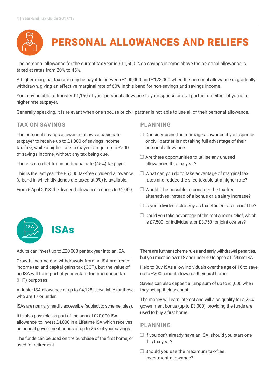

The personal allowance for the current tax year is £11,500. Non-savings income above the personal allowance is taxed at rates from 20% to 45%.

A higher marginal tax rate may be payable between £100,000 and £123,000 when the personal allowance is gradually withdrawn, giving an effective marginal rate of 60% in this band for non-savings and savings income.

You may be able to transfer £1,150 of your personal allowance to your spouse or civil partner if neither of you is a higher rate taxpayer.

Generally speaking, it is relevant when one spouse or civil partner is not able to use all of their personal allowance.

#### **TAX ON SAVINGS**

The personal savings allowance allows a basic rate taxpayer to receive up to £1,000 of savings income tax-free, while a higher rate taxpayer can get up to £500 of savings income, without any tax being due.

There is no relief for an additional rate (45%) taxpayer.

This is the last year the £5,000 tax-free dividend allowance (a band in which dividends are taxed at 0%) is available.

From 6 April 2018, the dividend allowance reduces to £2,000.

#### **PLANNING**

- $\Box$  Consider using the marriage allowance if your spouse or civil partner is not taking full advantage of their personal allowance
- $\Box$  Are there opportunities to utilise any unused allowances this tax year?
- $\Box$  What can you do to take advantage of marginal tax rates and reduce the slice taxable at a higher rate?
- $\Box$  Would it be possible to consider the tax-free alternatives instead of a bonus or a salary increase?
- $\Box$  Is your dividend strategy as tax-efficient as it could be?
- $\Box$  Could you take advantage of the rent a room relief, which is £7,500 for individuals, or £3,750 for joint owners?

Adults can invest up to £20,000 per tax year into an ISA.

Growth, income and withdrawals from an ISA are free of income tax and capital gains tax (CGT), but the value of an ISA will form part of your estate for inheritance tax (IHT) purposes.

A Junior ISA allowance of up to £4,128 is available for those who are 17 or under.

ISAs are normally readily accessible (subject to scheme rules).

It is also possible, as part of the annual £20,000 ISA allowance, to invest £4,000 in a Lifetime ISA which receives an annual government bonus of up to 25% of your savings.

The funds can be used on the purchase of the first home, or used for retirement.

There are further scheme rules and early withdrawal penalties, but you must be over 18 and under 40 to open a Lifetime ISA.

Help to Buy ISAs allow individuals over the age of 16 to save up to £200 a month towards their first home.

Savers can also deposit a lump sum of up to £1,000 when they set up their account.

The money will earn interest and will also qualify for a 25% government bonus (up to £3,000), providing the funds are used to buy a first home.

#### **PLANNING**

- $\Box$  If you don't already have an ISA, should you start one this tax year?
- $\Box$  Should you use the maximum tax-free investment allowance?

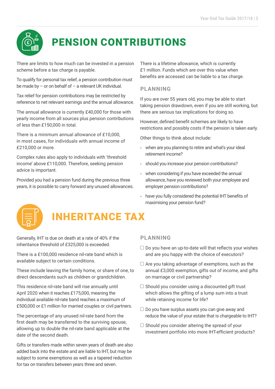

## PENSION CONTRIBUTIONS

There are limits to how much can be invested in a pension scheme before a tax charge is payable.

To qualify for personal tax relief, a pension contribution must be made by – or on behalf of – a relevant UK individual.

Tax relief for pension contributions may be restricted by reference to net relevant earnings and the annual allowance.

The annual allowance is currently £40,000 for those with yearly income from all sources plus pension contributions of less than £150,000 in total.

There is a minimum annual allowance of £10,000, in most cases, for individuals with annual income of £210,000 or more.

Complex rules also apply to individuals with 'threshold income' above £110,000. Therefore, seeking pension advice is important.

Provided you had a pension fund during the previous three years, it is possible to carry forward any unused allowances. There is a lifetime allowance, which is currently £1 million. Funds which are over this value when benefits are accessed can be liable to a tax charge.

#### **PLANNING**

If you are over 55 years old, you may be able to start taking pension drawdown, even if you are still working, but there are serious tax implications for doing so.

However, defined benefit schemes are likely to have restrictions and possibly costs if the pension is taken early.

Other things to think about include:

- when are you planning to retire and what's your ideal retirement income?
- should you increase your pension contributions?
- when considering if you have exceeded the annual allowance, have you reviewed both your employee and employer pension contributions?
- have you fully considered the potential IHT benefits of maximising your pension fund?



### INHERITANCE TAX

Generally, IHT is due on death at a rate of 40% if the inheritance threshold of £325,000 is exceeded.

There is a £100,000 residence nil-rate band which is available subject to certain conditions.

These include leaving the family home, or share of one, to direct descendants such as children or grandchildren.

This residence nil-rate band will rise annually until April 2020 when it reaches £175,000, meaning the individual available nil-rate band reaches a maximum of £500,000 or £1 million for married couples or civil partners.

The percentage of any unused nil-rate band from the first death may be transferred to the surviving spouse, allowing up to double the nil-rate band applicable at the date of the second death.

Gifts or transfers made within seven years of death are also added back into the estate and are liable to IHT, but may be subject to some exemptions as well as a tapered reduction for tax on transfers between years three and seven.

#### **PLANNING**

- $\Box$  Do you have an up-to-date will that reflects your wishes and are you happy with the choice of executors?
- $\Box$  Are you taking advantage of exemptions, such as the annual £3,000 exemption, gifts out of income, and gifts on marriage or civil partnership?
- $\Box$  Should you consider using a discounted gift trust which allows the gifting of a lump sum into a trust while retaining income for life?
- $\Box$  Do you have surplus assets you can give away and reduce the value of your estate that is chargeable to IHT?
- $\Box$  Should you consider altering the spread of your investment portfolio into more IHT-eficient products?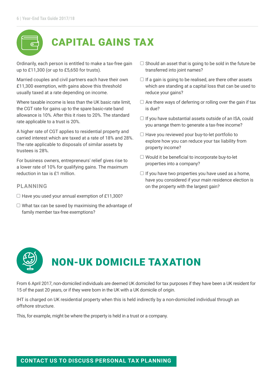### CAPITAL GAINS TAX

Ordinarily, each person is entitled to make a tax-free gain up to £11,300 (or up to £5,650 for trusts).

Married couples and civil partners each have their own £11,300 exemption, with gains above this threshold usually taxed at a rate depending on income.

Where taxable income is less than the UK basic rate limit, the CGT rate for gains up to the spare basic-rate band allowance is 10%. After this it rises to 20%. The standard rate applicable to a trust is 20%.

A higher rate of CGT applies to residential property and carried interest which are taxed at a rate of 18% and 28%. The rate applicable to disposals of similar assets by trustees is 28%.

For business owners, entrepreneurs' relief gives rise to a lower rate of 10% for qualifying gains. The maximum reduction in tax is £1 million.

#### **PLANNING**

- $\Box$  Have you used your annual exemption of £11,300?
- $\Box$  What tax can be saved by maximising the advantage of family member tax-free exemptions?
- $\Box$  Should an asset that is going to be sold in the future be transferred into joint names?
- $\Box$  If a gain is going to be realised, are there other assets which are standing at a capital loss that can be used to reduce your gains?
- $\Box$  Are there ways of deferring or rolling over the gain if tax is due?
- $\Box$  If you have substantial assets outside of an ISA, could you arrange them to generate a tax-free income?
- $\Box$  Have you reviewed your buy-to-let portfolio to explore how you can reduce your tax liability from property income?
- $\Box$  Would it be beneficial to incorporate buy-to-let properties into a company?
- $\Box$  If you have two properties you have used as a home, have you considered if your main residence election is on the property with the largest gain?



From 6 April 2017, non-domiciled individuals are deemed UK domiciled for tax purposes if they have been a UK resident for 15 of the past 20 years, or if they were born in the UK with a UK domicile of origin.

IHT is charged on UK residential property when this is held indirectly by a non-domiciled individual through an offshore structure.

This, for example, might be where the property is held in a trust or a company.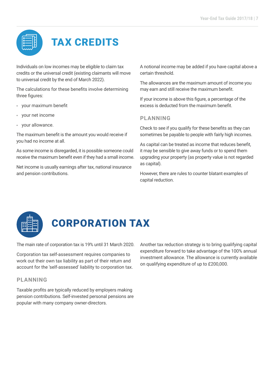# TAX CREDITS

Individuals on low incomes may be eligible to claim tax credits or the universal credit (existing claimants will move to universal credit by the end of March 2022).

The calculations for these benefits involve determining three figures:

- your maximum benefit
- your net income
- your allowance.

The maximum benefit is the amount you would receive if you had no income at all.

As some income is disregarded, it is possible someone could receive the maximum benefit even if they had a small income.

Net income is usually earnings after tax, national insurance and pension contributions.

A notional income may be added if you have capital above a certain threshold.

The allowances are the maximum amount of income you may earn and still receive the maximum benefit.

If your income is above this figure, a percentage of the excess is deducted from the maximum benefit

#### **PLANNING**

Check to see if you qualify for these benefits as they can sometimes be payable to people with fairly high incomes.

As capital can be treated as income that reduces benefit, it may be sensible to give away funds or to spend them upgrading your property (as property value is not regarded as capital).

However, there are rules to counter blatant examples of capital reduction.



# CORPORATION TAX

The main rate of corporation tax is 19% until 31 March 2020.

Corporation tax self-assessment requires companies to work out their own tax liability as part of their return and account for the 'self-assessed' liability to corporation tax.

#### **PLANNING**

Taxable profits are typically reduced by employers making pension contributions. Self-invested personal pensions are popular with many company owner-directors.

Another tax reduction strategy is to bring qualifying capital expenditure forward to take advantage of the 100% annual investment allowance. The allowance is currently available on qualifying expenditure of up to £200,000.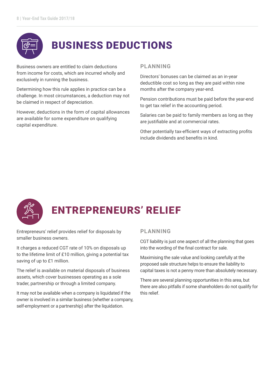

### BUSINESS DEDUCTIONS

Business owners are entitled to claim deductions from income for costs, which are incurred wholly and exclusively in running the business.

Determining how this rule applies in practice can be a challenge. In most circumstances, a deduction may not be claimed in respect of depreciation.

However, deductions in the form of capital allowances are available for some expenditure on qualifying capital expenditure.

#### **PLANNING**

Directors' bonuses can be claimed as an in-year deductible cost so long as they are paid within nine months after the company year-end.

Pension contributions must be paid before the year-end to get tax relief in the accounting period.

Salaries can be paid to family members as long as they are justifiable and at commercial rates.

Other potentially tax-efficient ways of extracting profits include dividends and benefits in kind.



## ENTREPRENEURS' RELIEF

Entrepreneurs' relief provides relief for disposals by smaller business owners.

It charges a reduced CGT rate of 10% on disposals up to the lifetime limit of £10 million, giving a potential tax saving of up to £1 million.

The relief is available on material disposals of business assets, which cover businesses operating as a sole trader, partnership or through a limited company.

It may not be available when a company is liquidated if the owner is involved in a similar business (whether a company, self-employment or a partnership) after the liquidation.

#### **PLANNING**

CGT liability is just one aspect of all the planning that goes into the wording of the final contract for sale.

Maximising the sale value and looking carefully at the proposed sale structure helps to ensure the liability to capital taxes is not a penny more than absolutely necessary.

There are several planning opportunities in this area, but there are also pitfalls if some shareholders do not qualify for this relief.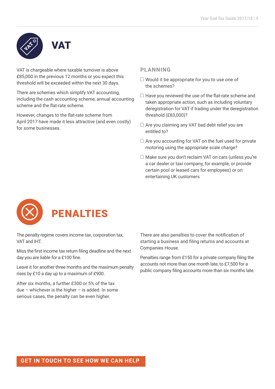# VAT

VAT is chargeable where taxable turnover is above £85,000 in the previous 12 months or you expect this threshold will be exceeded within the next 30 days.

There are schemes which simplify VAT accounting, including the cash accounting scheme, annual accounting scheme and the flat-rate scheme.

However, changes to the flat-rate scheme from April 2017 have made it less attractive (and even costly) for some businesses.

#### **PLANNING**

- $\Box$  Would it be appropriate for you to use one of the schemes?
- $\Box$  Have you reviewed the use of the flat-rate scheme and taken appropriate action, such as including voluntary deregistration for VAT if trading under the deregistration threshold (£83,000)?
- $\Box$  Are you claiming any VAT bad debt relief you are entitled to?
- $\Box$  Are you accounting for VAT on the fuel used for private motoring using the appropriate scale charge?
- □ Make sure you don't reclaim VAT on cars (unless you're a car dealer or taxi company, for example, or provide certain pool or leased cars for employees) or on entertaining UK customers



The penalty regime covers income tax, corporation tax, VAT and IHT.

Miss the first income tax return filing deadline and the next day you are liable for a £100 fine.

Leave it for another three months and the maximum penalty rises by £10 a day up to a maximum of £900.

After six months, a further £300 or 5% of the tax due – whichever is the higher – is added. In some serious cases, the penalty can be even higher.

There are also penalties to cover the notification of starting a business and filing returns and accounts at Companies House.

Penalties range from £150 for a private company filing the accounts not more than one month late, to £7,500 for a public company filing accounts more than six months late.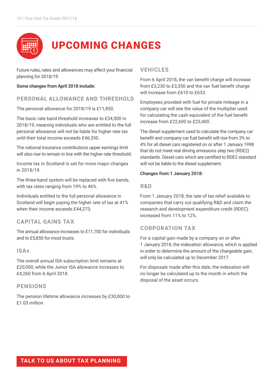

Future rules, rates and allowances may affect your financial planning for 2018/19.

#### **Some changes from April 2018 include:**

#### **PERSONAL ALLOWANCE AND THRESHOLD**

The personal allowance for 2018/19 is £11,850.

The basic rate band threshold increases to £34,500 in 2018/19, meaning individuals who are entitled to the full personal allowance will not be liable for higher rate tax until their total income exceeds £46,350.

The national insurance contributions upper earnings limit will also rise to remain in line with the higher rate threshold.

Income tax in Scotland is set for more major changes in 2018/19.

The three-band system will be replaced with five bands, with tax rates ranging from 19% to 46%.

Individuals entitled to the full personal allowance in Scotland will begin paying the higher rate of tax at 41% when their income exceeds £44,273.

#### **CAPITAL GAINS TAX**

The annual allowance increases to £11,700 for individuals and to £5,850 for most trusts.

#### **ISAs**

The overall annual ISA subscription limit remains at £20,000, while the Junior ISA allowance increases to £4,260 from 6 April 2018.

#### **PENSIONS**

The pension lifetime allowance increases by £30,000 to £1.03 million.

#### **VEHICLES**

From 6 April 2018, the van benefit charge will increase from £3,230 to £3,350 and the van fuel benefit charge will increase from £610 to £633.

Employees provided with fuel for private mileage in a company car will see the value of the multiplier used for calculating the cash equivalent of the fuel benefit increase from £22,600 to £23,400.

The diesel supplement used to calculate the company car benefit and company car fuel benefit will rise from 3% to 4% for all diesel cars registered on or after 1 January 1998 that do not meet real driving emissions step two (RDE2) standards. Diesel cars which are certified to RDE2 standard will not be liable to the diesel supplement.

#### **Changes from 1 January 2018:**

#### **R&D**

From 1 January 2018, the rate of tax relief available to companies that carry out qualifying R&D and claim the research and development expenditure credit (RDEC) increased from 11% to 12%.

#### **CORPORATION TAX**

For a capital gain made by a company on or after 1 January 2018, the indexation allowance, which is applied in order to determine the amount of the chargeable gain, will only be calculated up to December 2017.

For disposals made after this date, the indexation will no longer be calculated up to the month in which the disposal of the asset occurs.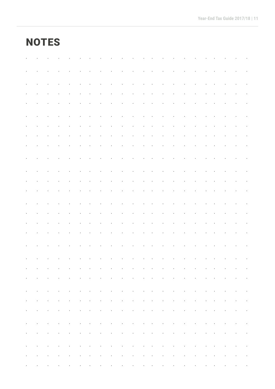### **NOTES**

|                                                                                                                                                                                                                                   |                       |                                                                                         |                         |                 |                                                 |              |  |                                                                                                                 |                                                          |                                                                                         |                   |              |                                          |                             |  |                     | the contract of the contract of the contract of the contract of the contract of the contract of |  |
|-----------------------------------------------------------------------------------------------------------------------------------------------------------------------------------------------------------------------------------|-----------------------|-----------------------------------------------------------------------------------------|-------------------------|-----------------|-------------------------------------------------|--------------|--|-----------------------------------------------------------------------------------------------------------------|----------------------------------------------------------|-----------------------------------------------------------------------------------------|-------------------|--------------|------------------------------------------|-----------------------------|--|---------------------|-------------------------------------------------------------------------------------------------|--|
|                                                                                                                                                                                                                                   |                       |                                                                                         |                         |                 |                                                 |              |  |                                                                                                                 |                                                          |                                                                                         |                   |              |                                          |                             |  |                     |                                                                                                 |  |
|                                                                                                                                                                                                                                   |                       |                                                                                         | the company's company's |                 | <b>Contract</b>                                 |              |  | the contract of the contract of the contract of the contract of                                                 |                                                          |                                                                                         |                   |              | the contract of the contract of          |                             |  | the company's state |                                                                                                 |  |
|                                                                                                                                                                                                                                   |                       |                                                                                         |                         |                 |                                                 |              |  |                                                                                                                 |                                                          |                                                                                         |                   |              |                                          |                             |  |                     |                                                                                                 |  |
|                                                                                                                                                                                                                                   |                       |                                                                                         | and the company of      |                 | <b>Contract</b><br><b>Contract</b>              |              |  | the contract of the contract of the                                                                             |                                                          | $\sim 100$                                                                              |                   |              | <b>Contract</b>                          | $\sim 100$                  |  |                     |                                                                                                 |  |
|                                                                                                                                                                                                                                   |                       | $\sim 100$ km $^{-1}$                                                                   |                         | $\sim$          | $\sim 100$ km $^{-1}$                           |              |  | the contract of the contract of the contract of the contract of the contract of the contract of the contract of |                                                          |                                                                                         |                   |              |                                          |                             |  |                     |                                                                                                 |  |
|                                                                                                                                                                                                                                   |                       |                                                                                         |                         |                 |                                                 |              |  |                                                                                                                 |                                                          |                                                                                         |                   |              |                                          |                             |  |                     |                                                                                                 |  |
|                                                                                                                                                                                                                                   |                       |                                                                                         |                         |                 |                                                 |              |  | $\sim$                                                                                                          | $\bullet$                                                |                                                                                         |                   |              |                                          |                             |  |                     |                                                                                                 |  |
|                                                                                                                                                                                                                                   |                       |                                                                                         | <b>Contract</b>         |                 |                                                 |              |  | the contract of the contract of the contract of the contract of the contract of                                 |                                                          |                                                                                         |                   |              | <b>Contractor</b>                        | $\sim$                      |  |                     |                                                                                                 |  |
|                                                                                                                                                                                                                                   |                       | الموارد والمستحدث والمستحدث والمستحدث والمستحدث والمستحدث والمستحدث والمستحدث والمستحدث |                         |                 |                                                 |              |  |                                                                                                                 |                                                          |                                                                                         |                   |              |                                          |                             |  |                     |                                                                                                 |  |
|                                                                                                                                                                                                                                   | $\sim 100$ km $^{-1}$ |                                                                                         | and the company of the  |                 |                                                 |              |  | the contract of the contract of the contract of the contract of                                                 |                                                          |                                                                                         |                   |              |                                          |                             |  |                     | the contract of the contract of the contract of the contract of                                 |  |
|                                                                                                                                                                                                                                   |                       |                                                                                         | $\sim$                  | $\cdot$         |                                                 | $\mathbf{r}$ |  |                                                                                                                 |                                                          |                                                                                         |                   |              |                                          |                             |  |                     |                                                                                                 |  |
|                                                                                                                                                                                                                                   |                       |                                                                                         |                         |                 | and the second control of the second control of |              |  | <b>Contractor</b>                                                                                               |                                                          | $\mathbf{r} = \mathbf{r} \cdot \mathbf{r}$ , $\mathbf{r} = \mathbf{r} \cdot \mathbf{r}$ |                   | $\sim$       | the contract of the contract of the      |                             |  |                     | $\mathbf{r} = \mathbf{r} \times \mathbf{r}$ , where $\mathbf{r} = \mathbf{r} \times \mathbf{r}$ |  |
|                                                                                                                                                                                                                                   |                       | $\sim$                                                                                  | $\sim 100$              |                 |                                                 | $\sim 100$   |  | the contract of the contract of the contract of the                                                             |                                                          |                                                                                         |                   |              | and the company's com-                   |                             |  |                     |                                                                                                 |  |
|                                                                                                                                                                                                                                   |                       |                                                                                         | $\blacksquare$          |                 | $\blacksquare$                                  | $\mathbf{r}$ |  | $\sim$                                                                                                          | $\bullet$                                                |                                                                                         |                   |              | $\mathbf{r}$                             |                             |  |                     |                                                                                                 |  |
|                                                                                                                                                                                                                                   |                       |                                                                                         | $\sim 10$<br>$\sim 100$ | and the control | $\sim$<br>$\sim 100$ km $^{-1}$                 | $\sim$       |  | <b>Contract</b><br>the contract of the contract of the                                                          | $\mathbf{r}$<br>$\mathbf{u} = \mathbf{u} + \mathbf{u}$ . | $\sim 100$                                                                              | <b>Contractor</b> | $\mathbf{r}$ | <b>Contract</b><br>$\sim 100$ km $^{-1}$ | and the company of the com- |  |                     | <b>Contractor</b>                                                                               |  |
|                                                                                                                                                                                                                                   |                       |                                                                                         |                         |                 |                                                 |              |  |                                                                                                                 |                                                          |                                                                                         |                   |              |                                          |                             |  |                     |                                                                                                 |  |
|                                                                                                                                                                                                                                   |                       |                                                                                         |                         |                 |                                                 |              |  |                                                                                                                 |                                                          |                                                                                         |                   |              |                                          |                             |  |                     |                                                                                                 |  |
|                                                                                                                                                                                                                                   |                       |                                                                                         |                         |                 |                                                 |              |  |                                                                                                                 |                                                          |                                                                                         |                   |              |                                          |                             |  |                     |                                                                                                 |  |
| وسينتهض والمستقيل والمستقيل والمستقيل والمتعاون والمتعارف والمستقيل والمتعاون والمتعارف والمستقيل والمستقيل<br>the contract of the contract of the contract of the contract of the contract of the contract of the contract of    |                       |                                                                                         |                         |                 |                                                 |              |  |                                                                                                                 |                                                          |                                                                                         |                   |              |                                          |                             |  |                     |                                                                                                 |  |
|                                                                                                                                                                                                                                   |                       |                                                                                         |                         |                 |                                                 |              |  |                                                                                                                 |                                                          |                                                                                         |                   |              |                                          |                             |  |                     |                                                                                                 |  |
| الموارد والتعاريف الموارد والتعاريف المعارض والمعارض والمعارض والتعارف القاربة الفارد والتعارض القارنا والتعار<br>the contract of the contract of the contract of the contract of the contract of the contract of the contract of |                       |                                                                                         |                         |                 |                                                 |              |  |                                                                                                                 |                                                          |                                                                                         |                   |              |                                          |                             |  |                     |                                                                                                 |  |
| the contract of the contract of the contract of the contract of the contract of the contract of the contract of                                                                                                                   |                       |                                                                                         |                         |                 |                                                 |              |  |                                                                                                                 |                                                          |                                                                                         |                   |              |                                          |                             |  |                     |                                                                                                 |  |
|                                                                                                                                                                                                                                   |                       |                                                                                         |                         |                 |                                                 |              |  |                                                                                                                 |                                                          |                                                                                         |                   |              |                                          |                             |  |                     |                                                                                                 |  |
| وسينتهض والمستقر والمستنقي والمستنقي والمستقر والمستنق والمستنق والمستنق والمستنقي والمستنقي والمستنقر<br>the contract of the contract of the contract of the contract of the contract of the contract of the contract of         |                       |                                                                                         |                         |                 |                                                 |              |  |                                                                                                                 |                                                          |                                                                                         |                   |              |                                          |                             |  |                     |                                                                                                 |  |
|                                                                                                                                                                                                                                   |                       |                                                                                         |                         |                 |                                                 |              |  |                                                                                                                 |                                                          |                                                                                         |                   |              |                                          |                             |  |                     |                                                                                                 |  |
| الموارد والمستقرع والمستقر والمستقر والمستقر والمستقر والمستقر والمستقر والمستقر والمستقر والمستقر والمستقر<br>والمنافعات والمستقرع والمستقيل والمستنقي والمستقر والمستقر والمستقر والمستقر والمستقر والمستقر والمستقر والمستقر   |                       |                                                                                         |                         |                 |                                                 |              |  |                                                                                                                 |                                                          |                                                                                         |                   |              |                                          |                             |  |                     |                                                                                                 |  |
| the contract of the contract of the contract of the contract of the contract of the contract of the contract of                                                                                                                   |                       |                                                                                         |                         |                 |                                                 |              |  |                                                                                                                 |                                                          |                                                                                         |                   |              |                                          |                             |  |                     |                                                                                                 |  |